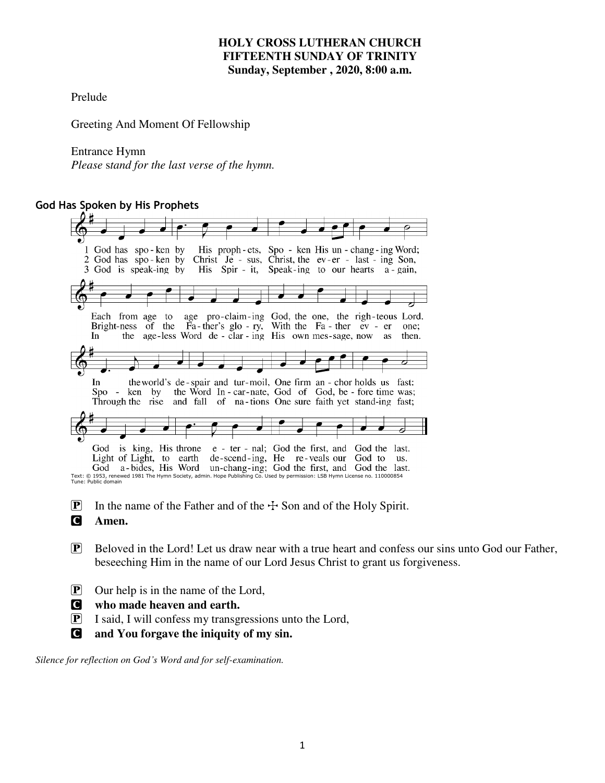#### **HOLY CROSS LUTHERAN CHURCH FIFTEENTH SUNDAY OF TRINITY Sunday, September , 2020, 8:00 a.m.**

Prelude

Greeting And Moment Of Fellowship

#### Entrance Hymn

*Please* s*tand for the last verse of the hymn.* 

#### **God Has Spoken by His Prophets**

| 1 God has spo-ken by His proph-ets, Spo-ken His un-chang-ing Word;                                                                                |
|---------------------------------------------------------------------------------------------------------------------------------------------------|
| Christ Je - sus, Christ, the ev-er - last - ing Son,<br>2 God has spo-ken by                                                                      |
| 3 God is speak-ing by His Spir - it, Speak-ing to our hearts a gain,                                                                              |
|                                                                                                                                                   |
|                                                                                                                                                   |
|                                                                                                                                                   |
|                                                                                                                                                   |
| age pro-claim-ing God, the one, the righ-teous Lord.<br>Each from age to                                                                          |
| Bright-ness of the Fa-ther's glo-ry, With the Fa-ther ev - er<br>one:                                                                             |
| age-less Word de - clar - ing His own mes-sage, now<br>the<br><b>In</b><br>then.<br>as                                                            |
|                                                                                                                                                   |
|                                                                                                                                                   |
|                                                                                                                                                   |
| the world's de-spair and tur-moil, One firm an - chor holds us fast:<br>In.                                                                       |
| the Word In - car-nate, God of God, be - fore time was;<br>by<br>ken<br>$Spo -$                                                                   |
| and fall of na-tions One sure faith yet stand-ing fast;<br>Through the rise                                                                       |
|                                                                                                                                                   |
|                                                                                                                                                   |
|                                                                                                                                                   |
|                                                                                                                                                   |
| is king, His throne e - ter - nal; God the first, and God the last.<br>God                                                                        |
| Light of Light, to earth<br>de-scend-ing, He re-veals our<br>God to<br>us.                                                                        |
| a-bides, His Word un-chang-ing; God the first, and God the last.<br>God                                                                           |
| Text: © 1953, renewed 1981 The Hymn Society, admin. Hope Publishing Co. Used by permission: LSB Hymn License no. 110000854<br>Tune: Public domain |
|                                                                                                                                                   |
|                                                                                                                                                   |
| $ \mathbf{P} $<br>In the name of the Father and of the $+$ Son and of the Holy Spirit.                                                            |

C **Amen.** 

- $\mathbf{P}$  Beloved in the Lord! Let us draw near with a true heart and confess our sins unto God our Father, beseeching Him in the name of our Lord Jesus Christ to grant us forgiveness.
- P Our help is in the name of the Lord,
- C **who made heaven and earth.**
- P I said, I will confess my transgressions unto the Lord,
- C **and You forgave the iniquity of my sin.**

*Silence for reflection on God's Word and for self-examination.*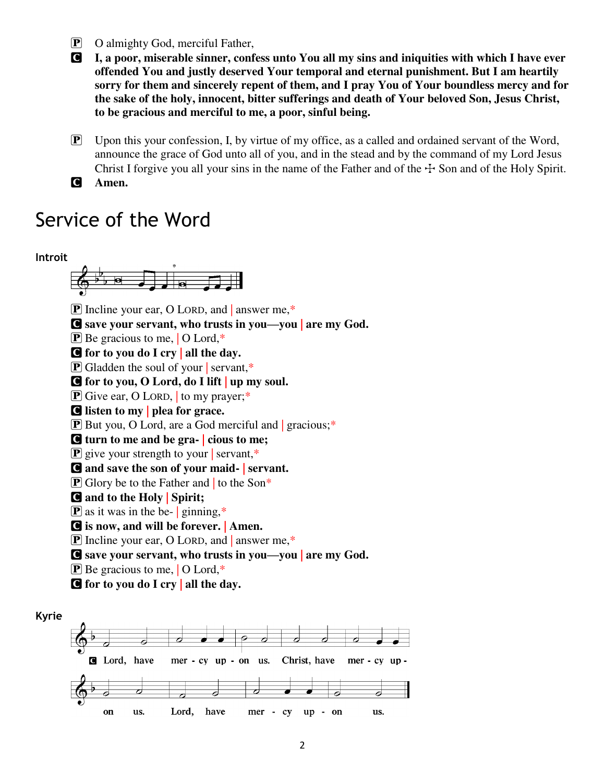- P O almighty God, merciful Father,
- C **I, a poor, miserable sinner, confess unto You all my sins and iniquities with which I have ever offended You and justly deserved Your temporal and eternal punishment. But I am heartily sorry for them and sincerely repent of them, and I pray You of Your boundless mercy and for the sake of the holy, innocent, bitter sufferings and death of Your beloved Son, Jesus Christ, to be gracious and merciful to me, a poor, sinful being.**
- **P** Upon this your confession, I, by virtue of my office, as a called and ordained servant of the Word, announce the grace of God unto all of you, and in the stead and by the command of my Lord Jesus Christ I forgive you all your sins in the name of the Father and of the  $\pm$  Son and of the Holy Spirit.
- C **Amen.**

## Service of the Word

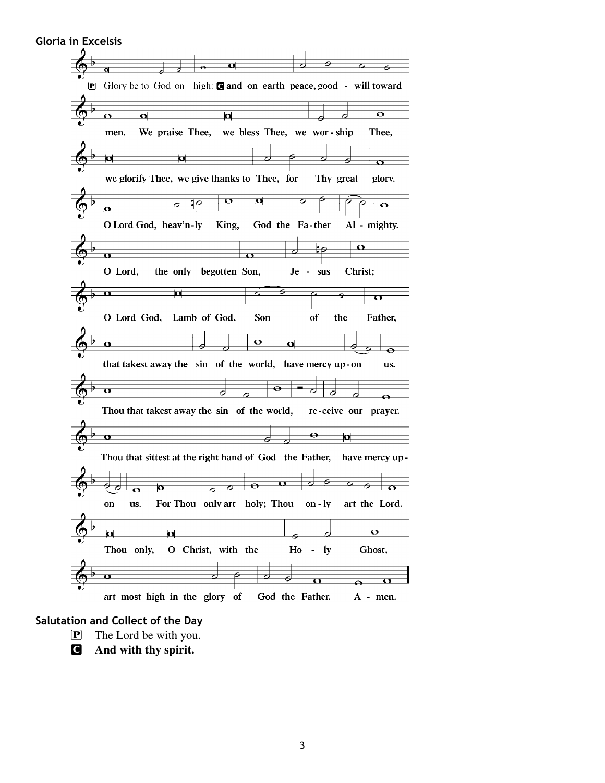|             | Ч                                                                            |
|-------------|------------------------------------------------------------------------------|
|             | তা                                                                           |
| $ {\bf P} $ | Glory be to God on high: $\Box$ and on earth peace, good - will toward       |
|             |                                                                              |
|             |                                                                              |
|             | $\bullet$<br><u>lat</u><br>u<br>σ                                            |
|             |                                                                              |
|             | we bless Thee, we wor-ship<br>We praise Thee,<br>Thee,<br>men.               |
|             |                                                                              |
|             | b<br>O<br>Γ                                                                  |
|             | 6<br>$\sigma$                                                                |
|             | we glorify Thee, we give thanks to Thee, for<br>Thy great<br>glory.          |
|             | $\mathbf o$<br>р<br>₫Θ                                                       |
|             | o<br>о                                                                       |
|             | O Lord God, heav'n-ly<br>King,<br>God the Fa-ther<br>Al - mighty.            |
|             | <u>Ω</u>                                                                     |
|             | $\Omega$<br>О                                                                |
|             |                                                                              |
|             | O Lord,<br>the only begotten Son,<br>Christ;<br>$Je -$<br><b>SUS</b>         |
|             | $\overline{\mathbf{u}}$                                                      |
|             | Ω<br>o                                                                       |
|             | Son<br>O Lord God, Lamb of God,<br>of<br>the<br>Father,                      |
|             |                                                                              |
|             | $\mathbf \bullet$<br>$\overline{\mathbf{p}}$<br>$\overline{\mathbf{p}}$<br>Ο |
|             | $\Theta$<br>that takest away the sin of the world, have mercy up-on<br>us.   |
|             | Θ                                                                            |
|             | р<br>0<br>⊖                                                                  |
|             | Thou that takest away the sin of the world,<br>re-ceive our<br>prayer.       |
|             | $\bullet$                                                                    |
|             | Þ<br>ø<br>6                                                                  |
|             | Thou that sittest at the right hand of God the Father,<br>have mercy up-     |
|             |                                                                              |
|             | o<br>$\bullet$<br>bi                                                         |
|             | For Thou only art holy; Thou<br>on - $ly$<br>art the Lord.<br>on<br>us.      |
|             |                                                                              |
|             | $\bullet$<br>b<br>п                                                          |
|             | O Christ, with the<br>Thou only,<br>$H_0 - ly$<br>Ghost,                     |
|             |                                                                              |
|             |                                                                              |
|             | 右<br>σ<br>ヮ                                                                  |
|             | $\sigma$<br>$\bf{O}$                                                         |

### **Salutation and Collect of the Day**

- P The Lord be with you.
- C **And with thy spirit.**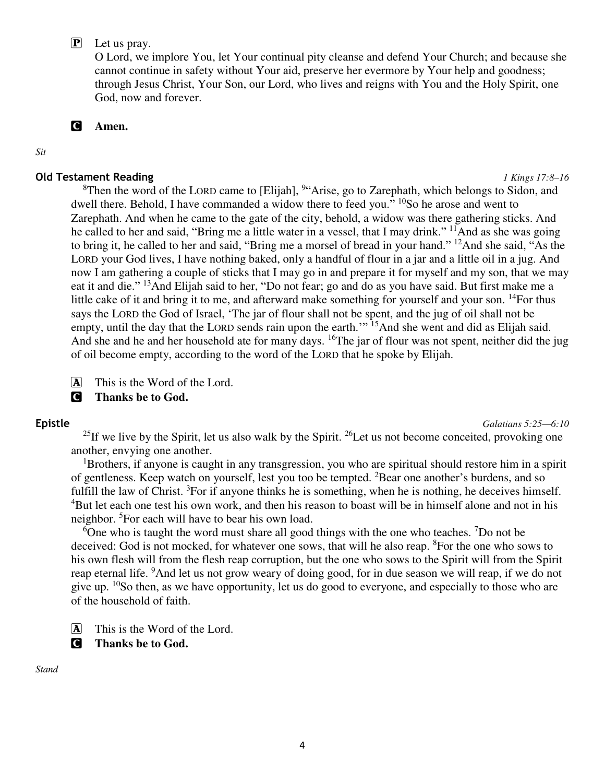#### P Let us pray.

O Lord, we implore You, let Your continual pity cleanse and defend Your Church; and because she cannot continue in safety without Your aid, preserve her evermore by Your help and goodness; through Jesus Christ, Your Son, our Lord, who lives and reigns with You and the Holy Spirit, one God, now and forever.

C **Amen.** 

*Sit* 

#### **Old Testament Reading** *1 Kings 17:8–16*

 ${}^{8}$ Then the word of the LORD came to [Elijah],  ${}^{9}$ "Arise, go to Zarephath, which belongs to Sidon, and dwell there. Behold, I have commanded a widow there to feed you." <sup>10</sup>So he arose and went to Zarephath. And when he came to the gate of the city, behold, a widow was there gathering sticks. And he called to her and said, "Bring me a little water in a vessel, that I may drink." <sup>11</sup>And as she was going to bring it, he called to her and said, "Bring me a morsel of bread in your hand." <sup>12</sup>And she said, "As the LORD your God lives, I have nothing baked, only a handful of flour in a jar and a little oil in a jug. And now I am gathering a couple of sticks that I may go in and prepare it for myself and my son, that we may eat it and die." <sup>13</sup>And Elijah said to her, "Do not fear; go and do as you have said. But first make me a little cake of it and bring it to me, and afterward make something for yourself and your son. <sup>14</sup>For thus says the LORD the God of Israel, 'The jar of flour shall not be spent, and the jug of oil shall not be empty, until the day that the LORD sends rain upon the earth."<sup>15</sup>And she went and did as Elijah said. And she and he and her household ate for many days. <sup>16</sup>The jar of flour was not spent, neither did the jug of oil become empty, according to the word of the LORD that he spoke by Elijah.

A This is the Word of the Lord.

#### C **Thanks be to God.**

**Epistle** *Galatians 5:25—6:10* 

<sup>25</sup>If we live by the Spirit, let us also walk by the Spirit. <sup>26</sup>Let us not become conceited, provoking one another, envying one another.

 $1B$ rothers, if anyone is caught in any transgression, you who are spiritual should restore him in a spirit of gentleness. Keep watch on yourself, lest you too be tempted. <sup>2</sup>Bear one another's burdens, and so fulfill the law of Christ.  ${}^{3}$ For if anyone thinks he is something, when he is nothing, he deceives himself. <sup>4</sup>But let each one test his own work, and then his reason to boast will be in himself alone and not in his neighbor. <sup>5</sup>For each will have to bear his own load.

 $6$ One who is taught the word must share all good things with the one who teaches. <sup>7</sup>Do not be deceived: God is not mocked, for whatever one sows, that will he also reap. <sup>8</sup>For the one who sows to his own flesh will from the flesh reap corruption, but the one who sows to the Spirit will from the Spirit reap eternal life. <sup>9</sup>And let us not grow weary of doing good, for in due season we will reap, if we do not give up.  $^{10}$ So then, as we have opportunity, let us do good to everyone, and especially to those who are of the household of faith.

 $\overline{A}$  This is the Word of the Lord.

C **Thanks be to God.** 

*Stand*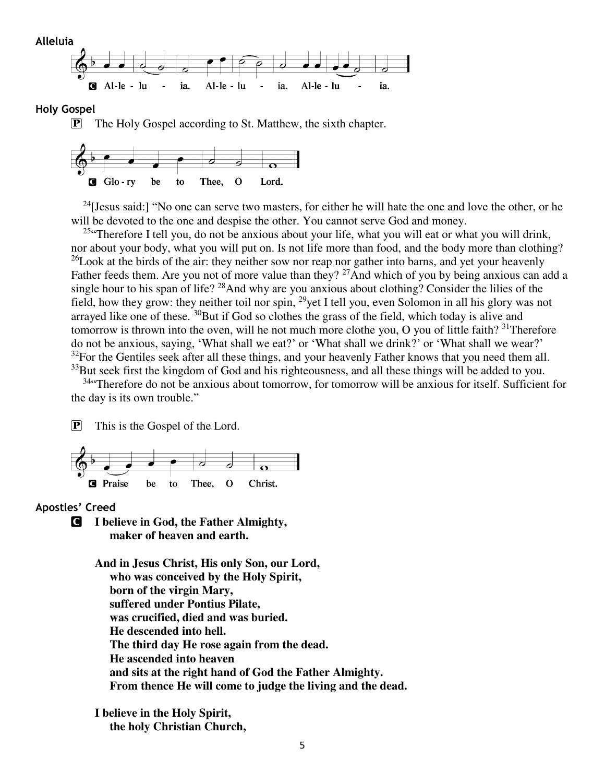

#### **Holy Gospel**

**P** The Holy Gospel according to St. Matthew, the sixth chapter.



<sup>24</sup>[Jesus said:] "No one can serve two masters, for either he will hate the one and love the other, or he will be devoted to the one and despise the other. You cannot serve God and money.

<sup>25</sup> Therefore I tell you, do not be anxious about your life, what you will eat or what you will drink, nor about your body, what you will put on. Is not life more than food, and the body more than clothing?  $^{26}$ Look at the birds of the air: they neither sow nor reap nor gather into barns, and yet your heavenly Father feeds them. Are you not of more value than they? <sup>27</sup>And which of you by being anxious can add a single hour to his span of life?  $28$ And why are you anxious about clothing? Consider the lilies of the field, how they grow: they neither toil nor spin, <sup>29</sup>yet I tell you, even Solomon in all his glory was not arrayed like one of these.  $30$ But if God so clothes the grass of the field, which today is alive and tomorrow is thrown into the oven, will he not much more clothe you, O you of little faith?  $31$ Therefore do not be anxious, saying, 'What shall we eat?' or 'What shall we drink?' or 'What shall we wear?'  $32$ For the Gentiles seek after all these things, and your heavenly Father knows that you need them all. <sup>33</sup>But seek first the kingdom of God and his righteousness, and all these things will be added to you.

<sup>34</sup> Therefore do not be anxious about tomorrow, for tomorrow will be anxious for itself. Sufficient for the day is its own trouble."

P This is the Gospel of the Lord.



#### **Apostles' Creed**

C **I believe in God, the Father Almighty, maker of heaven and earth.** 

> **And in Jesus Christ, His only Son, our Lord, who was conceived by the Holy Spirit, born of the virgin Mary, suffered under Pontius Pilate, was crucified, died and was buried. He descended into hell. The third day He rose again from the dead. He ascended into heaven and sits at the right hand of God the Father Almighty. From thence He will come to judge the living and the dead.**

**I believe in the Holy Spirit, the holy Christian Church,**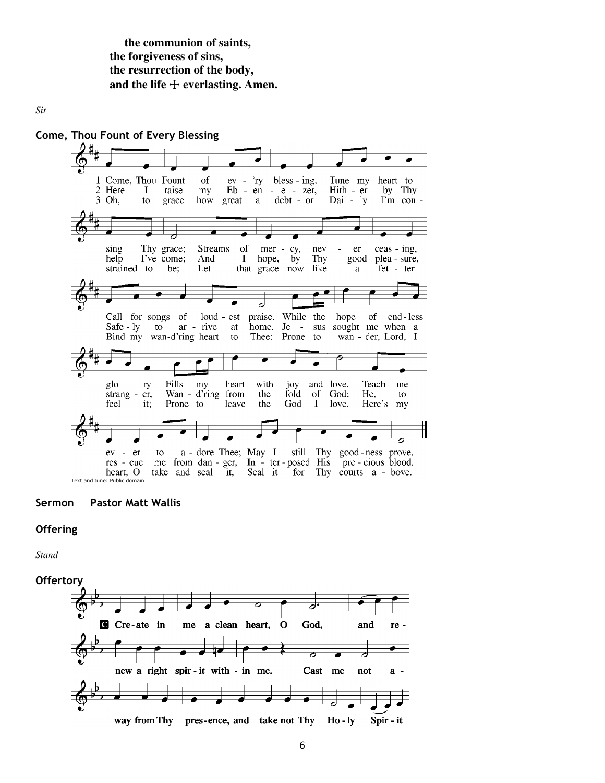**the communion of saints, the forgiveness of sins, the resurrection of the body,**  and the life  $\dagger$  everlasting. Amen.

*Sit* 



#### **Sermon Pastor Matt Wallis**

#### **Offering**

*Stand* 

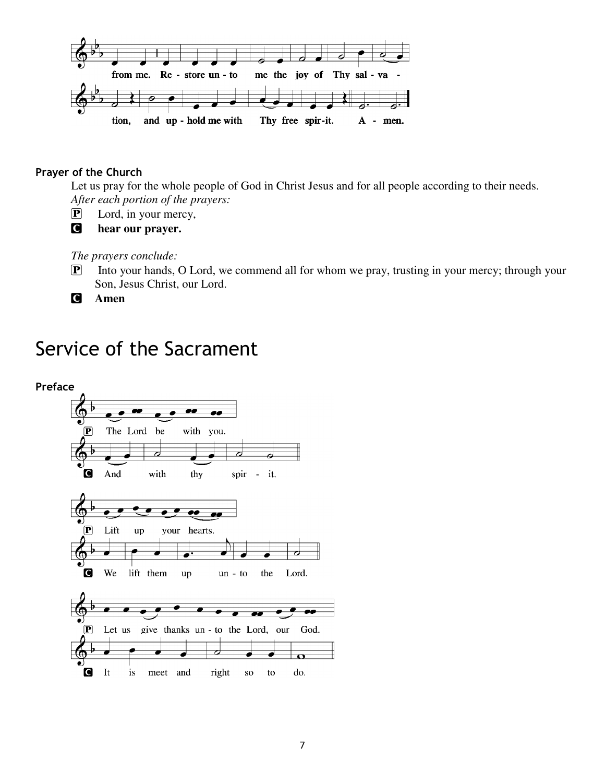

#### **Prayer of the Church**

Let us pray for the whole people of God in Christ Jesus and for all people according to their needs. *After each portion of the prayers:* 

- P Lord, in your mercy,
- C **hear our prayer.**

*The prayers conclude:* 

P Into your hands, O Lord, we commend all for whom we pray, trusting in your mercy; through your Son, Jesus Christ, our Lord.

C **Amen** 

# Service of the Sacrament

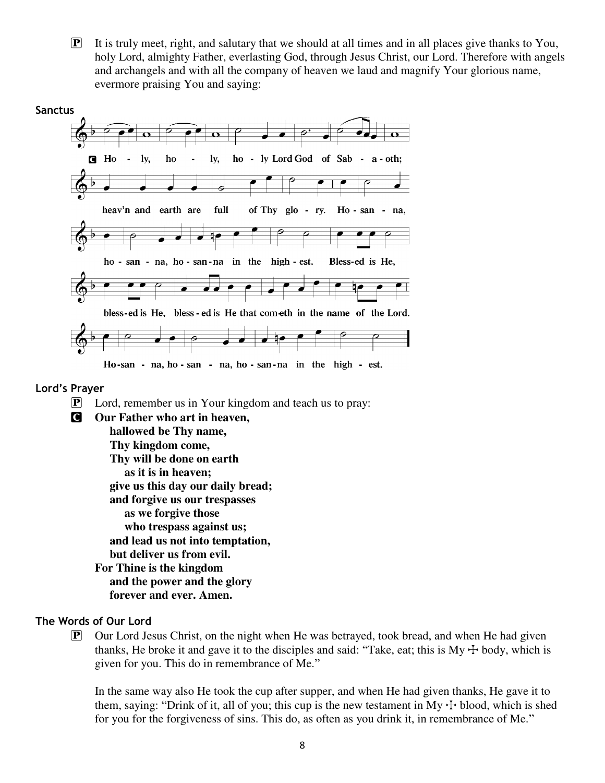$\mathbf{P}$  It is truly meet, right, and salutary that we should at all times and in all places give thanks to You, holy Lord, almighty Father, everlasting God, through Jesus Christ, our Lord. Therefore with angels and archangels and with all the company of heaven we laud and magnify Your glorious name, evermore praising You and saying:



#### **Lord's Prayer**

- P Lord, remember us in Your kingdom and teach us to pray:
- C **Our Father who art in heaven, hallowed be Thy name, Thy kingdom come, Thy will be done on earth as it is in heaven; give us this day our daily bread; and forgive us our trespasses as we forgive those who trespass against us; and lead us not into temptation, but deliver us from evil. For Thine is the kingdom and the power and the glory forever and ever. Amen.**

#### **The Words of Our Lord**

 $\mathbf{P}$  Our Lord Jesus Christ, on the night when He was betrayed, took bread, and when He had given thanks, He broke it and gave it to the disciples and said: "Take, eat; this is  $My + body$ , which is given for you. This do in remembrance of Me."

In the same way also He took the cup after supper, and when He had given thanks, He gave it to them, saying: "Drink of it, all of you; this cup is the new testament in My  $+$  blood, which is shed for you for the forgiveness of sins. This do, as often as you drink it, in remembrance of Me."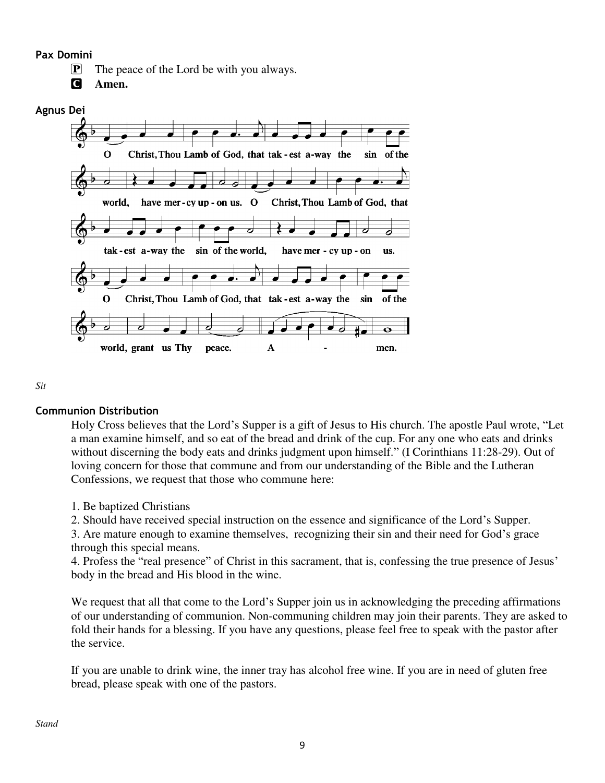**Pax Domini**

 $\mathbf{P}$  The peace of the Lord be with you always.

C **Amen.** 



*Sit* 

### **Communion Distribution**

Holy Cross believes that the Lord's Supper is a gift of Jesus to His church. The apostle Paul wrote, "Let a man examine himself, and so eat of the bread and drink of the cup. For any one who eats and drinks without discerning the body eats and drinks judgment upon himself." (I Corinthians 11:28-29). Out of loving concern for those that commune and from our understanding of the Bible and the Lutheran Confessions, we request that those who commune here:

1. Be baptized Christians

2. Should have received special instruction on the essence and significance of the Lord's Supper.

3. Are mature enough to examine themselves, recognizing their sin and their need for God's grace through this special means.

4. Profess the "real presence" of Christ in this sacrament, that is, confessing the true presence of Jesus' body in the bread and His blood in the wine.

We request that all that come to the Lord's Supper join us in acknowledging the preceding affirmations of our understanding of communion. Non-communing children may join their parents. They are asked to fold their hands for a blessing. If you have any questions, please feel free to speak with the pastor after the service.

If you are unable to drink wine, the inner tray has alcohol free wine. If you are in need of gluten free bread, please speak with one of the pastors.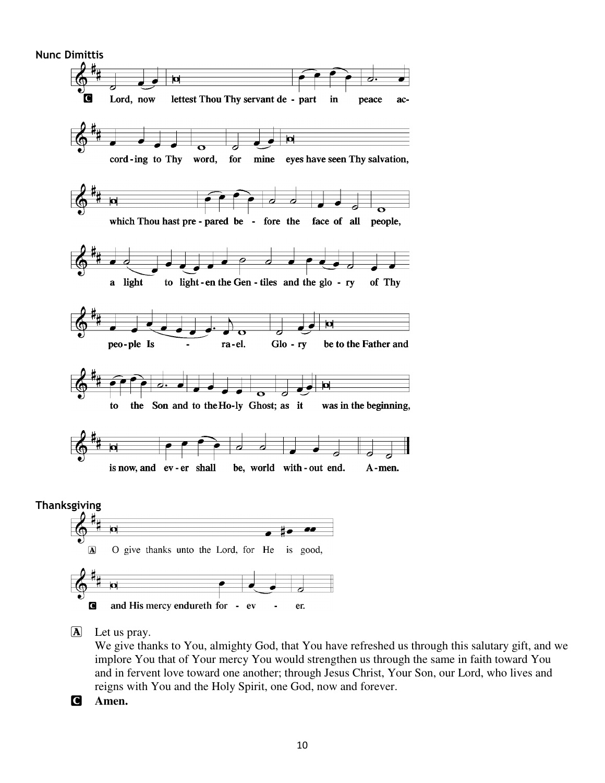

We give thanks to You, almighty God, that You have refreshed us through this salutary gift, and we implore You that of Your mercy You would strengthen us through the same in faith toward You and in fervent love toward one another; through Jesus Christ, Your Son, our Lord, who lives and reigns with You and the Holy Spirit, one God, now and forever.

C **Amen.**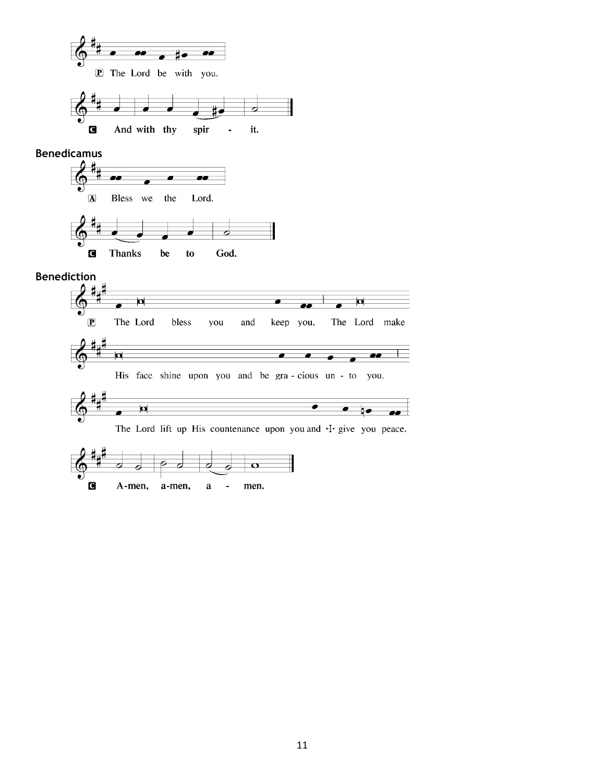